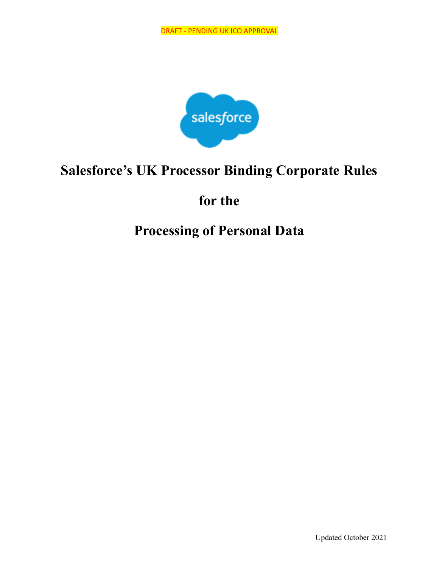

## **Salesforce's UK Processor Binding Corporate Rules**

## **for the**

# **Processing of Personal Data**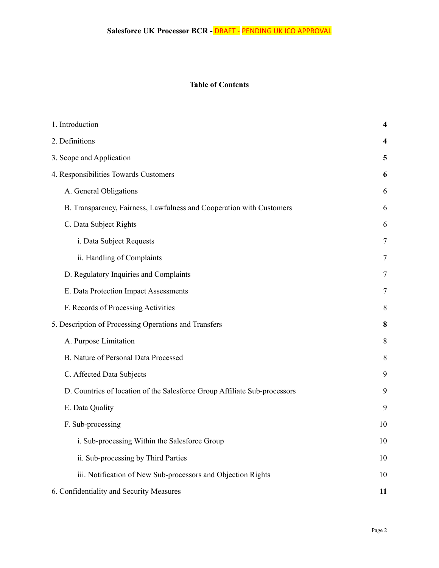## **Table of Contents**

| 1. Introduction                                                           | 4      |
|---------------------------------------------------------------------------|--------|
| 2. Definitions                                                            | 4      |
| 3. Scope and Application                                                  | 5      |
| 4. Responsibilities Towards Customers                                     | 6      |
| A. General Obligations                                                    | 6      |
| B. Transparency, Fairness, Lawfulness and Cooperation with Customers      | 6      |
| C. Data Subject Rights                                                    | 6      |
| i. Data Subject Requests                                                  | $\tau$ |
| ii. Handling of Complaints                                                | 7      |
| D. Regulatory Inquiries and Complaints                                    | 7      |
| E. Data Protection Impact Assessments                                     | 7      |
| F. Records of Processing Activities                                       | 8      |
| 5. Description of Processing Operations and Transfers                     | 8      |
| A. Purpose Limitation                                                     | 8      |
| B. Nature of Personal Data Processed                                      | 8      |
| C. Affected Data Subjects                                                 | 9      |
| D. Countries of location of the Salesforce Group Affiliate Sub-processors | 9      |
| E. Data Quality                                                           | 9      |
| F. Sub-processing                                                         | 10     |
| i. Sub-processing Within the Salesforce Group                             | 10     |
| ii. Sub-processing by Third Parties                                       | 10     |
| iii. Notification of New Sub-processors and Objection Rights              | 10     |
| 6. Confidentiality and Security Measures                                  | 11     |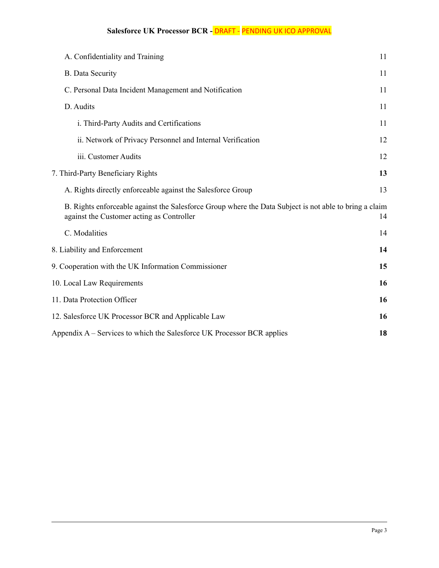## **Salesforce UK Processor BCR -** DRAFT - PENDING UK ICO APPROVAL

| A. Confidentiality and Training                                                                                                                     | 11 |
|-----------------------------------------------------------------------------------------------------------------------------------------------------|----|
| <b>B.</b> Data Security                                                                                                                             | 11 |
| C. Personal Data Incident Management and Notification                                                                                               | 11 |
| D. Audits                                                                                                                                           | 11 |
| i. Third-Party Audits and Certifications                                                                                                            | 11 |
| ii. Network of Privacy Personnel and Internal Verification                                                                                          | 12 |
| iii. Customer Audits                                                                                                                                | 12 |
| 7. Third-Party Beneficiary Rights                                                                                                                   | 13 |
| A. Rights directly enforceable against the Salesforce Group                                                                                         | 13 |
| B. Rights enforceable against the Salesforce Group where the Data Subject is not able to bring a claim<br>against the Customer acting as Controller | 14 |
| C. Modalities                                                                                                                                       | 14 |
| 8. Liability and Enforcement                                                                                                                        | 14 |
| 9. Cooperation with the UK Information Commissioner                                                                                                 | 15 |
| 10. Local Law Requirements                                                                                                                          | 16 |
| 11. Data Protection Officer                                                                                                                         | 16 |
| 12. Salesforce UK Processor BCR and Applicable Law                                                                                                  | 16 |
| Appendix A – Services to which the Salesforce UK Processor BCR applies                                                                              | 18 |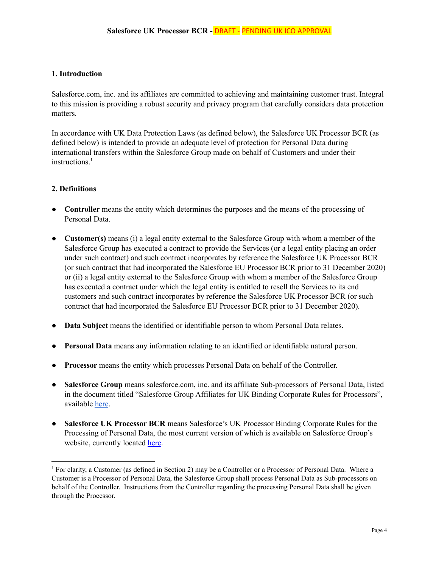#### <span id="page-3-0"></span>**1. Introduction**

Salesforce.com, inc. and its affiliates are committed to achieving and maintaining customer trust. Integral to this mission is providing a robust security and privacy program that carefully considers data protection matters.

In accordance with UK Data Protection Laws (as defined below), the Salesforce UK Processor BCR (as defined below) is intended to provide an adequate level of protection for Personal Data during international transfers within the Salesforce Group made on behalf of Customers and under their instructions. 1

#### <span id="page-3-1"></span>**2. Definitions**

- **● Controller** means the entity which determines the purposes and the means of the processing of Personal Data.
- **● Customer(s)** means (i) a legal entity external to the Salesforce Group with whom a member of the Salesforce Group has executed a contract to provide the Services (or a legal entity placing an order under such contract) and such contract incorporates by reference the Salesforce UK Processor BCR (or such contract that had incorporated the Salesforce EU Processor BCR prior to 31 December 2020) or (ii) a legal entity external to the Salesforce Group with whom a member of the Salesforce Group has executed a contract under which the legal entity is entitled to resell the Services to its end customers and such contract incorporates by reference the Salesforce UK Processor BCR (or such contract that had incorporated the Salesforce EU Processor BCR prior to 31 December 2020).
- **● Data Subject** means the identified or identifiable person to whom Personal Data relates.
- **Personal Data** means any information relating to an identified or identifiable natural person.
- **● Processor** means the entity which processes Personal Data on behalf of the Controller.
- **● Salesforce Group** means salesforce.com, inc. and its affiliate Sub-processors of Personal Data, listed in the document titled "Salesforce Group Affiliates for UK Binding Corporate Rules for Processors", available [here](https://www.salesforce.com/company/privacy/).
- **● Salesforce UK Processor BCR** means Salesforce's UK Processor Binding Corporate Rules for the Processing of Personal Data, the most current version of which is available on Salesforce Group's website, currently located [here.](https://www.salesforce.com/uk/company/privacy/)

<sup>1</sup> For clarity, a Customer (as defined in Section 2) may be a Controller or a Processor of Personal Data. Where a Customer is a Processor of Personal Data, the Salesforce Group shall process Personal Data as Sub-processors on behalf of the Controller. Instructions from the Controller regarding the processing Personal Data shall be given through the Processor.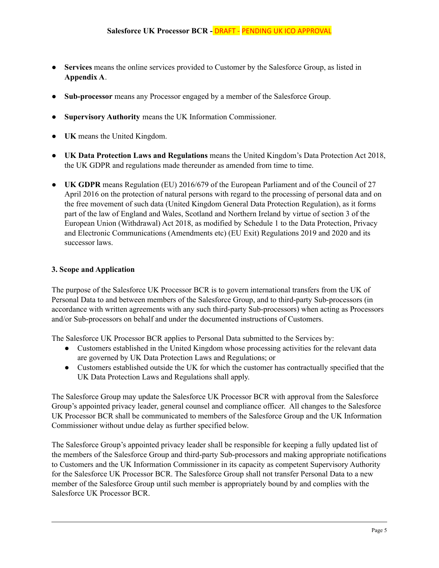- **● Services** means the online services provided to Customer by the Salesforce Group, as listed in **Appendix A**.
- **Sub-processor** means any Processor engaged by a member of the Salesforce Group.
- **● Supervisory Authority** means the UK Information Commissioner.
- **UK** means the United Kingdom.
- **UK Data Protection Laws and Regulations** means the United Kingdom's Data Protection Act 2018, the UK GDPR and regulations made thereunder as amended from time to time.
- **UK GDPR** means Regulation (EU) 2016/679 of the European Parliament and of the Council of 27 April 2016 on the protection of natural persons with regard to the processing of personal data and on the free movement of such data (United Kingdom General Data Protection Regulation), as it forms part of the law of England and Wales, Scotland and Northern Ireland by virtue of section 3 of the European Union (Withdrawal) Act 2018, as modified by Schedule 1 to the Data Protection, Privacy and Electronic Communications (Amendments etc) (EU Exit) Regulations 2019 and 2020 and its successor laws.

#### <span id="page-4-0"></span>**3. Scope and Application**

The purpose of the Salesforce UK Processor BCR is to govern international transfers from the UK of Personal Data to and between members of the Salesforce Group, and to third-party Sub-processors (in accordance with written agreements with any such third-party Sub-processors) when acting as Processors and/or Sub-processors on behalf and under the documented instructions of Customers.

The Salesforce UK Processor BCR applies to Personal Data submitted to the Services by:

- Customers established in the United Kingdom whose processing activities for the relevant data are governed by UK Data Protection Laws and Regulations; or
- Customers established outside the UK for which the customer has contractually specified that the UK Data Protection Laws and Regulations shall apply.

The Salesforce Group may update the Salesforce UK Processor BCR with approval from the Salesforce Group's appointed privacy leader, general counsel and compliance officer. All changes to the Salesforce UK Processor BCR shall be communicated to members of the Salesforce Group and the UK Information Commissioner without undue delay as further specified below.

The Salesforce Group's appointed privacy leader shall be responsible for keeping a fully updated list of the members of the Salesforce Group and third-party Sub-processors and making appropriate notifications to Customers and the UK Information Commissioner in its capacity as competent Supervisory Authority for the Salesforce UK Processor BCR. The Salesforce Group shall not transfer Personal Data to a new member of the Salesforce Group until such member is appropriately bound by and complies with the Salesforce UK Processor BCR.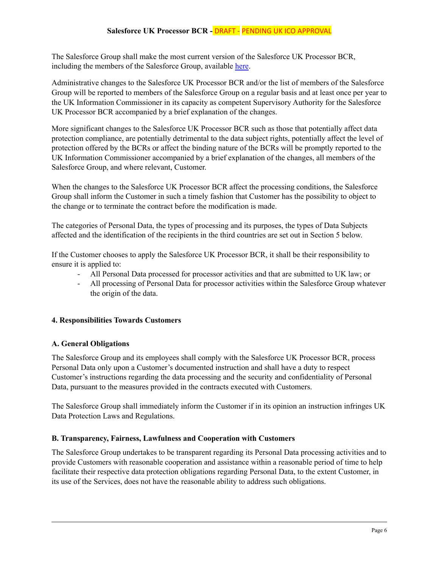The Salesforce Group shall make the most current version of the Salesforce UK Processor BCR, including the members of the Salesforce Group, available [here](https://www.salesforce.com/uk/company/privacy/).

Administrative changes to the Salesforce UK Processor BCR and/or the list of members of the Salesforce Group will be reported to members of the Salesforce Group on a regular basis and at least once per year to the UK Information Commissioner in its capacity as competent Supervisory Authority for the Salesforce UK Processor BCR accompanied by a brief explanation of the changes.

More significant changes to the Salesforce UK Processor BCR such as those that potentially affect data protection compliance, are potentially detrimental to the data subject rights, potentially affect the level of protection offered by the BCRs or affect the binding nature of the BCRs will be promptly reported to the UK Information Commissioner accompanied by a brief explanation of the changes, all members of the Salesforce Group, and where relevant, Customer.

When the changes to the Salesforce UK Processor BCR affect the processing conditions, the Salesforce Group shall inform the Customer in such a timely fashion that Customer has the possibility to object to the change or to terminate the contract before the modification is made.

The categories of Personal Data, the types of processing and its purposes, the types of Data Subjects affected and the identification of the recipients in the third countries are set out in Section 5 below.

If the Customer chooses to apply the Salesforce UK Processor BCR, it shall be their responsibility to ensure it is applied to:

- All Personal Data processed for processor activities and that are submitted to UK law; or
- All processing of Personal Data for processor activities within the Salesforce Group whatever the origin of the data.

## <span id="page-5-1"></span><span id="page-5-0"></span>**4. Responsibilities Towards Customers**

## **A. General Obligations**

The Salesforce Group and its employees shall comply with the Salesforce UK Processor BCR, process Personal Data only upon a Customer's documented instruction and shall have a duty to respect Customer's instructions regarding the data processing and the security and confidentiality of Personal Data, pursuant to the measures provided in the contracts executed with Customers.

The Salesforce Group shall immediately inform the Customer if in its opinion an instruction infringes UK Data Protection Laws and Regulations.

#### <span id="page-5-2"></span>**B. Transparency, Fairness, Lawfulness and Cooperation with Customers**

The Salesforce Group undertakes to be transparent regarding its Personal Data processing activities and to provide Customers with reasonable cooperation and assistance within a reasonable period of time to help facilitate their respective data protection obligations regarding Personal Data, to the extent Customer, in its use of the Services, does not have the reasonable ability to address such obligations.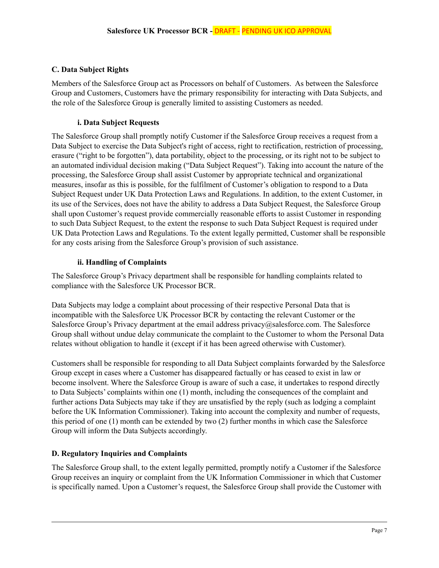## <span id="page-6-0"></span>**C. Data Subject Rights**

Members of the Salesforce Group act as Processors on behalf of Customers. As between the Salesforce Group and Customers, Customers have the primary responsibility for interacting with Data Subjects, and the role of the Salesforce Group is generally limited to assisting Customers as needed.

## **i. Data Subject Requests**

<span id="page-6-1"></span>The Salesforce Group shall promptly notify Customer if the Salesforce Group receives a request from a Data Subject to exercise the Data Subject's right of access, right to rectification, restriction of processing, erasure ("right to be forgotten"), data portability, object to the processing, or its right not to be subject to an automated individual decision making ("Data Subject Request"). Taking into account the nature of the processing, the Salesforce Group shall assist Customer by appropriate technical and organizational measures, insofar as this is possible, for the fulfilment of Customer's obligation to respond to a Data Subject Request under UK Data Protection Laws and Regulations. In addition, to the extent Customer, in its use of the Services, does not have the ability to address a Data Subject Request, the Salesforce Group shall upon Customer's request provide commercially reasonable efforts to assist Customer in responding to such Data Subject Request, to the extent the response to such Data Subject Request is required under UK Data Protection Laws and Regulations. To the extent legally permitted, Customer shall be responsible for any costs arising from the Salesforce Group's provision of such assistance.

## **ii. Handling of Complaints**

<span id="page-6-2"></span>The Salesforce Group's Privacy department shall be responsible for handling complaints related to compliance with the Salesforce UK Processor BCR.

Data Subjects may lodge a complaint about processing of their respective Personal Data that is incompatible with the Salesforce UK Processor BCR by contacting the relevant Customer or the Salesforce Group's Privacy department at the email address privacy@salesforce.com. The Salesforce Group shall without undue delay communicate the complaint to the Customer to whom the Personal Data relates without obligation to handle it (except if it has been agreed otherwise with Customer).

Customers shall be responsible for responding to all Data Subject complaints forwarded by the Salesforce Group except in cases where a Customer has disappeared factually or has ceased to exist in law or become insolvent. Where the Salesforce Group is aware of such a case, it undertakes to respond directly to Data Subjects' complaints within one (1) month, including the consequences of the complaint and further actions Data Subjects may take if they are unsatisfied by the reply (such as lodging a complaint before the UK Information Commissioner). Taking into account the complexity and number of requests, this period of one (1) month can be extended by two (2) further months in which case the Salesforce Group will inform the Data Subjects accordingly.

## <span id="page-6-3"></span>**D. Regulatory Inquiries and Complaints**

The Salesforce Group shall, to the extent legally permitted, promptly notify a Customer if the Salesforce Group receives an inquiry or complaint from the UK Information Commissioner in which that Customer is specifically named. Upon a Customer's request, the Salesforce Group shall provide the Customer with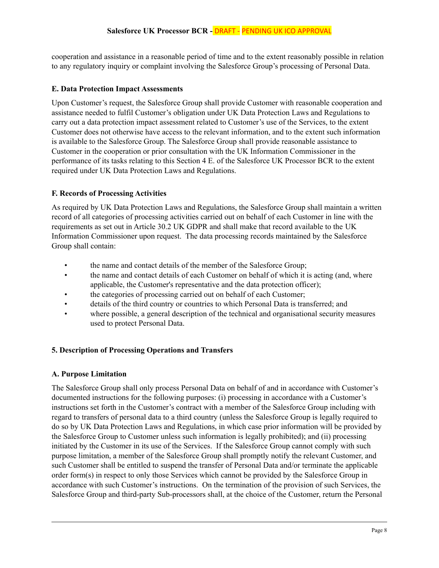cooperation and assistance in a reasonable period of time and to the extent reasonably possible in relation to any regulatory inquiry or complaint involving the Salesforce Group's processing of Personal Data.

## <span id="page-7-0"></span>**E. Data Protection Impact Assessments**

Upon Customer's request, the Salesforce Group shall provide Customer with reasonable cooperation and assistance needed to fulfil Customer's obligation under UK Data Protection Laws and Regulations to carry out a data protection impact assessment related to Customer's use of the Services, to the extent Customer does not otherwise have access to the relevant information, and to the extent such information is available to the Salesforce Group. The Salesforce Group shall provide reasonable assistance to Customer in the cooperation or prior consultation with the UK Information Commissioner in the performance of its tasks relating to this Section 4 E. of the Salesforce UK Processor BCR to the extent required under UK Data Protection Laws and Regulations.

## <span id="page-7-1"></span>**F. Records of Processing Activities**

As required by UK Data Protection Laws and Regulations, the Salesforce Group shall maintain a written record of all categories of processing activities carried out on behalf of each Customer in line with the requirements as set out in Article 30.2 UK GDPR and shall make that record available to the UK Information Commissioner upon request. The data processing records maintained by the Salesforce Group shall contain:

- the name and contact details of the member of the Salesforce Group;
- the name and contact details of each Customer on behalf of which it is acting (and, where applicable, the Customer's representative and the data protection officer);
- the categories of processing carried out on behalf of each Customer;
- details of the third country or countries to which Personal Data is transferred; and
- where possible, a general description of the technical and organisational security measures used to protect Personal Data.

## <span id="page-7-3"></span><span id="page-7-2"></span>**5. Description of Processing Operations and Transfers**

## **A. Purpose Limitation**

The Salesforce Group shall only process Personal Data on behalf of and in accordance with Customer's documented instructions for the following purposes: (i) processing in accordance with a Customer's instructions set forth in the Customer's contract with a member of the Salesforce Group including with regard to transfers of personal data to a third country (unless the Salesforce Group is legally required to do so by UK Data Protection Laws and Regulations, in which case prior information will be provided by the Salesforce Group to Customer unless such information is legally prohibited); and (ii) processing initiated by the Customer in its use of the Services. If the Salesforce Group cannot comply with such purpose limitation, a member of the Salesforce Group shall promptly notify the relevant Customer, and such Customer shall be entitled to suspend the transfer of Personal Data and/or terminate the applicable order form(s) in respect to only those Services which cannot be provided by the Salesforce Group in accordance with such Customer's instructions. On the termination of the provision of such Services, the Salesforce Group and third-party Sub-processors shall, at the choice of the Customer, return the Personal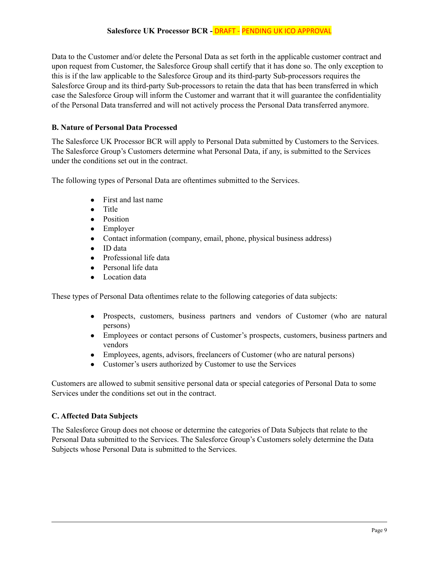Data to the Customer and/or delete the Personal Data as set forth in the applicable customer contract and upon request from Customer, the Salesforce Group shall certify that it has done so. The only exception to this is if the law applicable to the Salesforce Group and its third-party Sub-processors requires the Salesforce Group and its third-party Sub-processors to retain the data that has been transferred in which case the Salesforce Group will inform the Customer and warrant that it will guarantee the confidentiality of the Personal Data transferred and will not actively process the Personal Data transferred anymore.

## <span id="page-8-0"></span>**B. Nature of Personal Data Processed**

The Salesforce UK Processor BCR will apply to Personal Data submitted by Customers to the Services. The Salesforce Group's Customers determine what Personal Data, if any, is submitted to the Services under the conditions set out in the contract.

The following types of Personal Data are oftentimes submitted to the Services.

- First and last name
- Title
- Position
- Employer
- Contact information (company, email, phone, physical business address)
- ID data
- Professional life data
- Personal life data
- Location data

These types of Personal Data oftentimes relate to the following categories of data subjects:

- Prospects, customers, business partners and vendors of Customer (who are natural persons)
- Employees or contact persons of Customer's prospects, customers, business partners and vendors
- Employees, agents, advisors, freelancers of Customer (who are natural persons)
- Customer's users authorized by Customer to use the Services

Customers are allowed to submit sensitive personal data or special categories of Personal Data to some Services under the conditions set out in the contract.

## <span id="page-8-1"></span>**C. Affected Data Subjects**

The Salesforce Group does not choose or determine the categories of Data Subjects that relate to the Personal Data submitted to the Services. The Salesforce Group's Customers solely determine the Data Subjects whose Personal Data is submitted to the Services.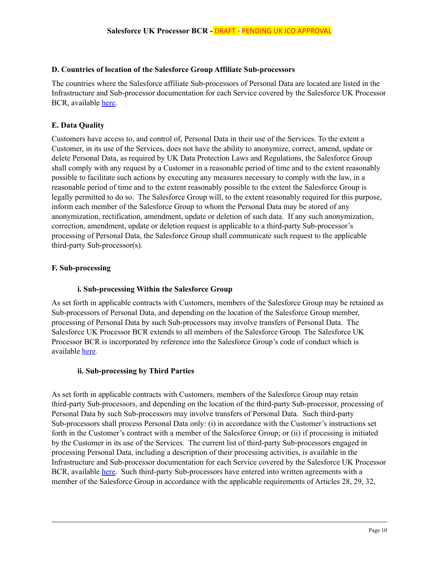#### <span id="page-9-0"></span>**D. Countries of location of the Salesforce Group Affiliate Sub-processors**

The countries where the Salesforce affiliate Sub-processors of Personal Data are located are listed in the Infrastructure and Sub-processor documentation for each Service covered by the Salesforce UK Processor BCR, available [here.](https://trust.salesforce.com/en/trust-and-compliance-documentation/)

### <span id="page-9-1"></span>**E. Data Quality**

Customers have access to, and control of, Personal Data in their use of the Services. To the extent a Customer, in its use of the Services, does not have the ability to anonymize, correct, amend, update or delete Personal Data, as required by UK Data Protection Laws and Regulations, the Salesforce Group shall comply with any request by a Customer in a reasonable period of time and to the extent reasonably possible to facilitate such actions by executing any measures necessary to comply with the law, in a reasonable period of time and to the extent reasonably possible to the extent the Salesforce Group is legally permitted to do so. The Salesforce Group will, to the extent reasonably required for this purpose, inform each member of the Salesforce Group to whom the Personal Data may be stored of any anonymization, rectification, amendment, update or deletion of such data. If any such anonymization, correction, amendment, update or deletion request is applicable to a third-party Sub-processor's processing of Personal Data, the Salesforce Group shall communicate such request to the applicable third-party Sub-processor(s).

#### <span id="page-9-3"></span><span id="page-9-2"></span>**F. Sub-processing**

#### **i. Sub-processing Within the Salesforce Group**

As set forth in applicable contracts with Customers, members of the Salesforce Group may be retained as Sub-processors of Personal Data, and depending on the location of the Salesforce Group member, processing of Personal Data by such Sub-processors may involve transfers of Personal Data. The Salesforce UK Processor BCR extends to all members of the Salesforce Group. The Salesforce UK Processor BCR is incorporated by reference into the Salesforce Group's code of conduct which is available [here](https://www.salesforce.com/company/legal/compliance/).

#### <span id="page-9-4"></span>**ii. Sub-processing by Third Parties**

As set forth in applicable contracts with Customers, members of the Salesforce Group may retain third-party Sub-processors, and depending on the location of the third-party Sub-processor, processing of Personal Data by such Sub-processors may involve transfers of Personal Data. Such third-party Sub-processors shall process Personal Data only: (i) in accordance with the Customer's instructions set forth in the Customer's contract with a member of the Salesforce Group; or (ii) if processing is initiated by the Customer in its use of the Services. The current list of third-party Sub-processors engaged in processing Personal Data, including a description of their processing activities, is available in the Infrastructure and Sub-processor documentation for each Service covered by the Salesforce UK Processor BCR, available [here.](https://trust.salesforce.com/en/trust-and-compliance-documentation/) Such third-party Sub-processors have entered into written agreements with a member of the Salesforce Group in accordance with the applicable requirements of Articles 28, 29, 32,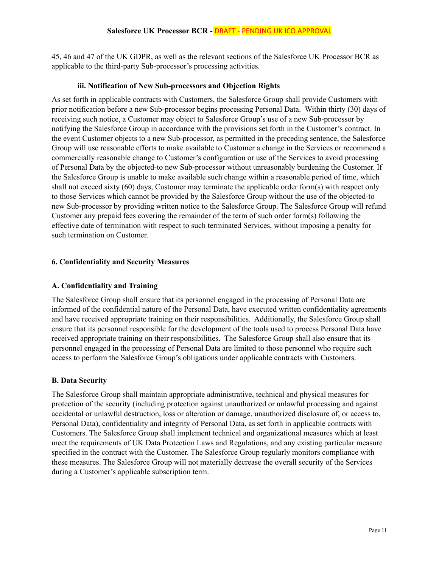45, 46 and 47 of the UK GDPR, as well as the relevant sections of the Salesforce UK Processor BCR as applicable to the third-party Sub-processor's processing activities.

#### **iii. Notification of New Sub-processors and Objection Rights**

<span id="page-10-0"></span>As set forth in applicable contracts with Customers, the Salesforce Group shall provide Customers with prior notification before a new Sub-processor begins processing Personal Data. Within thirty (30) days of receiving such notice, a Customer may object to Salesforce Group's use of a new Sub-processor by notifying the Salesforce Group in accordance with the provisions set forth in the Customer's contract. In the event Customer objects to a new Sub-processor, as permitted in the preceding sentence, the Salesforce Group will use reasonable efforts to make available to Customer a change in the Services or recommend a commercially reasonable change to Customer's configuration or use of the Services to avoid processing of Personal Data by the objected-to new Sub-processor without unreasonably burdening the Customer. If the Salesforce Group is unable to make available such change within a reasonable period of time, which shall not exceed sixty (60) days, Customer may terminate the applicable order form(s) with respect only to those Services which cannot be provided by the Salesforce Group without the use of the objected-to new Sub-processor by providing written notice to the Salesforce Group. The Salesforce Group will refund Customer any prepaid fees covering the remainder of the term of such order form(s) following the effective date of termination with respect to such terminated Services, without imposing a penalty for such termination on Customer.

## <span id="page-10-2"></span><span id="page-10-1"></span>**6. Confidentiality and Security Measures**

## **A. Confidentiality and Training**

The Salesforce Group shall ensure that its personnel engaged in the processing of Personal Data are informed of the confidential nature of the Personal Data, have executed written confidentiality agreements and have received appropriate training on their responsibilities. Additionally, the Salesforce Group shall ensure that its personnel responsible for the development of the tools used to process Personal Data have received appropriate training on their responsibilities. The Salesforce Group shall also ensure that its personnel engaged in the processing of Personal Data are limited to those personnel who require such access to perform the Salesforce Group's obligations under applicable contracts with Customers.

#### <span id="page-10-3"></span>**B. Data Security**

The Salesforce Group shall maintain appropriate administrative, technical and physical measures for protection of the security (including protection against unauthorized or unlawful processing and against accidental or unlawful destruction, loss or alteration or damage, unauthorized disclosure of, or access to, Personal Data), confidentiality and integrity of Personal Data, as set forth in applicable contracts with Customers. The Salesforce Group shall implement technical and organizational measures which at least meet the requirements of UK Data Protection Laws and Regulations, and any existing particular measure specified in the contract with the Customer. The Salesforce Group regularly monitors compliance with these measures. The Salesforce Group will not materially decrease the overall security of the Services during a Customer's applicable subscription term.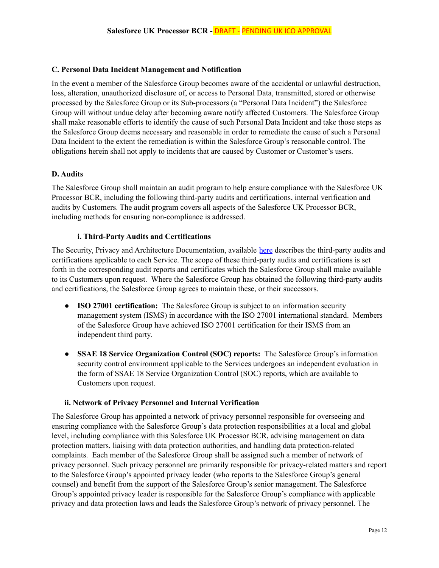#### <span id="page-11-0"></span>**C. Personal Data Incident Management and Notification**

In the event a member of the Salesforce Group becomes aware of the accidental or unlawful destruction, loss, alteration, unauthorized disclosure of, or access to Personal Data, transmitted, stored or otherwise processed by the Salesforce Group or its Sub-processors (a "Personal Data Incident") the Salesforce Group will without undue delay after becoming aware notify affected Customers. The Salesforce Group shall make reasonable efforts to identify the cause of such Personal Data Incident and take those steps as the Salesforce Group deems necessary and reasonable in order to remediate the cause of such a Personal Data Incident to the extent the remediation is within the Salesforce Group's reasonable control. The obligations herein shall not apply to incidents that are caused by Customer or Customer's users.

#### <span id="page-11-1"></span>**D. Audits**

The Salesforce Group shall maintain an audit program to help ensure compliance with the Salesforce UK Processor BCR, including the following third-party audits and certifications, internal verification and audits by Customers. The audit program covers all aspects of the Salesforce UK Processor BCR, including methods for ensuring non-compliance is addressed.

#### **i. Third-Party Audits and Certifications**

<span id="page-11-2"></span>The Security, Privacy and Architecture Documentation, available [here](https://trust.salesforce.com/en/trust-and-compliance-documentation/) describes the third-party audits and certifications applicable to each Service. The scope of these third-party audits and certifications is set forth in the corresponding audit reports and certificates which the Salesforce Group shall make available to its Customers upon request. Where the Salesforce Group has obtained the following third-party audits and certifications, the Salesforce Group agrees to maintain these, or their successors.

- **ISO 27001 certification:** The Salesforce Group is subject to an information security management system (ISMS) in accordance with the ISO 27001 international standard. Members of the Salesforce Group have achieved ISO 27001 certification for their ISMS from an independent third party.
- **SSAE 18 Service Organization Control (SOC) reports:** The Salesforce Group's information security control environment applicable to the Services undergoes an independent evaluation in the form of SSAE 18 Service Organization Control (SOC) reports, which are available to Customers upon request.

#### <span id="page-11-3"></span>**ii. Network of Privacy Personnel and Internal Verification**

The Salesforce Group has appointed a network of privacy personnel responsible for overseeing and ensuring compliance with the Salesforce Group's data protection responsibilities at a local and global level, including compliance with this Salesforce UK Processor BCR, advising management on data protection matters, liaising with data protection authorities, and handling data protection-related complaints. Each member of the Salesforce Group shall be assigned such a member of network of privacy personnel. Such privacy personnel are primarily responsible for privacy-related matters and report to the Salesforce Group's appointed privacy leader (who reports to the Salesforce Group's general counsel) and benefit from the support of the Salesforce Group's senior management. The Salesforce Group's appointed privacy leader is responsible for the Salesforce Group's compliance with applicable privacy and data protection laws and leads the Salesforce Group's network of privacy personnel. The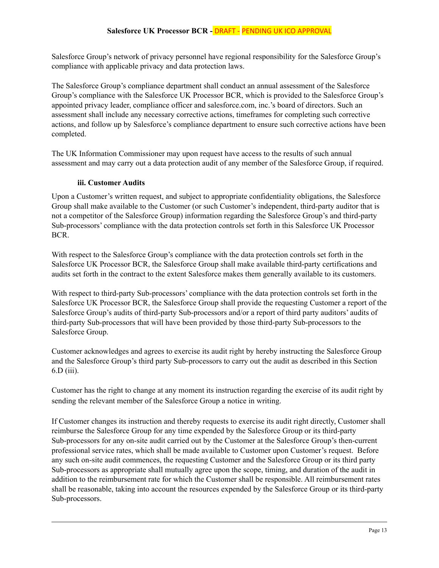Salesforce Group's network of privacy personnel have regional responsibility for the Salesforce Group's compliance with applicable privacy and data protection laws.

The Salesforce Group's compliance department shall conduct an annual assessment of the Salesforce Group's compliance with the Salesforce UK Processor BCR, which is provided to the Salesforce Group's appointed privacy leader, compliance officer and salesforce.com, inc.'s board of directors. Such an assessment shall include any necessary corrective actions, timeframes for completing such corrective actions, and follow up by Salesforce's compliance department to ensure such corrective actions have been completed.

<span id="page-12-0"></span>The UK Information Commissioner may upon request have access to the results of such annual assessment and may carry out a data protection audit of any member of the Salesforce Group, if required.

## **iii. Customer Audits**

Upon a Customer's written request, and subject to appropriate confidentiality obligations, the Salesforce Group shall make available to the Customer (or such Customer's independent, third-party auditor that is not a competitor of the Salesforce Group) information regarding the Salesforce Group's and third-party Sub-processors' compliance with the data protection controls set forth in this Salesforce UK Processor BCR.

With respect to the Salesforce Group's compliance with the data protection controls set forth in the Salesforce UK Processor BCR, the Salesforce Group shall make available third-party certifications and audits set forth in the contract to the extent Salesforce makes them generally available to its customers.

With respect to third-party Sub-processors' compliance with the data protection controls set forth in the Salesforce UK Processor BCR, the Salesforce Group shall provide the requesting Customer a report of the Salesforce Group's audits of third-party Sub-processors and/or a report of third party auditors' audits of third-party Sub-processors that will have been provided by those third-party Sub-processors to the Salesforce Group.

Customer acknowledges and agrees to exercise its audit right by hereby instructing the Salesforce Group and the Salesforce Group's third party Sub-processors to carry out the audit as described in this Section 6.D (iii).

Customer has the right to change at any moment its instruction regarding the exercise of its audit right by sending the relevant member of the Salesforce Group a notice in writing.

If Customer changes its instruction and thereby requests to exercise its audit right directly, Customer shall reimburse the Salesforce Group for any time expended by the Salesforce Group or its third-party Sub-processors for any on-site audit carried out by the Customer at the Salesforce Group's then-current professional service rates, which shall be made available to Customer upon Customer's request. Before any such on-site audit commences, the requesting Customer and the Salesforce Group or its third party Sub-processors as appropriate shall mutually agree upon the scope, timing, and duration of the audit in addition to the reimbursement rate for which the Customer shall be responsible. All reimbursement rates shall be reasonable, taking into account the resources expended by the Salesforce Group or its third-party Sub-processors.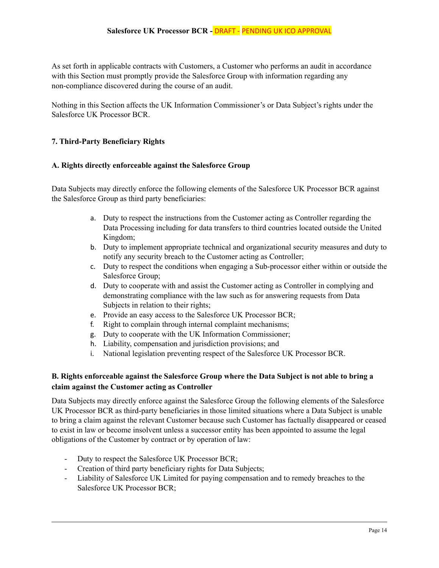As set forth in applicable contracts with Customers, a Customer who performs an audit in accordance with this Section must promptly provide the Salesforce Group with information regarding any non-compliance discovered during the course of an audit.

Nothing in this Section affects the UK Information Commissioner's or Data Subject's rights under the Salesforce UK Processor BCR.

## <span id="page-13-1"></span><span id="page-13-0"></span>**7. Third-Party Beneficiary Rights**

#### **A. Rights directly enforceable against the Salesforce Group**

Data Subjects may directly enforce the following elements of the Salesforce UK Processor BCR against the Salesforce Group as third party beneficiaries:

- a. Duty to respect the instructions from the Customer acting as Controller regarding the Data Processing including for data transfers to third countries located outside the United Kingdom;
- b. Duty to implement appropriate technical and organizational security measures and duty to notify any security breach to the Customer acting as Controller;
- c. Duty to respect the conditions when engaging a Sub-processor either within or outside the Salesforce Group;
- d. Duty to cooperate with and assist the Customer acting as Controller in complying and demonstrating compliance with the law such as for answering requests from Data Subjects in relation to their rights;
- e. Provide an easy access to the Salesforce UK Processor BCR;
- f. Right to complain through internal complaint mechanisms;
- g. Duty to cooperate with the UK Information Commissioner;
- h. Liability, compensation and jurisdiction provisions; and
- i. National legislation preventing respect of the Salesforce UK Processor BCR.

## <span id="page-13-2"></span>**B. Rights enforceable against the Salesforce Group where the Data Subject is not able to bring a claim against the Customer acting as Controller**

Data Subjects may directly enforce against the Salesforce Group the following elements of the Salesforce UK Processor BCR as third-party beneficiaries in those limited situations where a Data Subject is unable to bring a claim against the relevant Customer because such Customer has factually disappeared or ceased to exist in law or become insolvent unless a successor entity has been appointed to assume the legal obligations of the Customer by contract or by operation of law:

- Duty to respect the Salesforce UK Processor BCR;
- Creation of third party beneficiary rights for Data Subjects;
- Liability of Salesforce UK Limited for paying compensation and to remedy breaches to the Salesforce UK Processor BCR;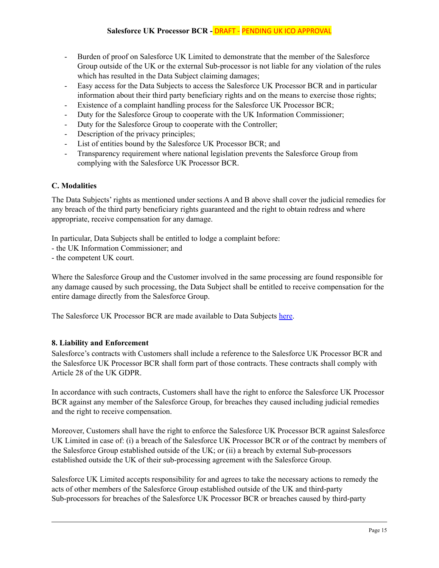- Burden of proof on Salesforce UK Limited to demonstrate that the member of the Salesforce Group outside of the UK or the external Sub-processor is not liable for any violation of the rules which has resulted in the Data Subject claiming damages;
- Easy access for the Data Subjects to access the Salesforce UK Processor BCR and in particular information about their third party beneficiary rights and on the means to exercise those rights;
- Existence of a complaint handling process for the Salesforce UK Processor BCR;
- Duty for the Salesforce Group to cooperate with the UK Information Commissioner;
- Duty for the Salesforce Group to cooperate with the Controller;
- Description of the privacy principles;
- List of entities bound by the Salesforce UK Processor BCR; and
- Transparency requirement where national legislation prevents the Salesforce Group from complying with the Salesforce UK Processor BCR.

## <span id="page-14-0"></span>**C. Modalities**

The Data Subjects' rights as mentioned under sections A and B above shall cover the judicial remedies for any breach of the third party beneficiary rights guaranteed and the right to obtain redress and where appropriate, receive compensation for any damage.

In particular, Data Subjects shall be entitled to lodge a complaint before:

- the UK Information Commissioner; and
- the competent UK court.

Where the Salesforce Group and the Customer involved in the same processing are found responsible for any damage caused by such processing, the Data Subject shall be entitled to receive compensation for the entire damage directly from the Salesforce Group.

<span id="page-14-1"></span>The Salesforce UK Processor BCR are made available to Data Subjects [here](https://www.salesforce.com/uk/company/privacy/).

#### **8. Liability and Enforcement**

Salesforce's contracts with Customers shall include a reference to the Salesforce UK Processor BCR and the Salesforce UK Processor BCR shall form part of those contracts. These contracts shall comply with Article 28 of the UK GDPR.

In accordance with such contracts, Customers shall have the right to enforce the Salesforce UK Processor BCR against any member of the Salesforce Group, for breaches they caused including judicial remedies and the right to receive compensation.

Moreover, Customers shall have the right to enforce the Salesforce UK Processor BCR against Salesforce UK Limited in case of: (i) a breach of the Salesforce UK Processor BCR or of the contract by members of the Salesforce Group established outside of the UK; or (ii) a breach by external Sub-processors established outside the UK of their sub-processing agreement with the Salesforce Group.

Salesforce UK Limited accepts responsibility for and agrees to take the necessary actions to remedy the acts of other members of the Salesforce Group established outside of the UK and third-party Sub-processors for breaches of the Salesforce UK Processor BCR or breaches caused by third-party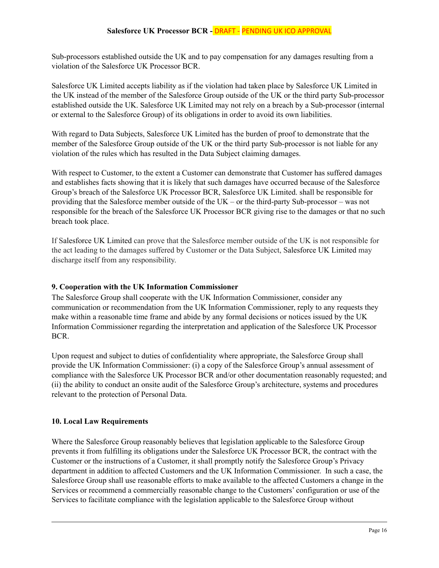Sub-processors established outside the UK and to pay compensation for any damages resulting from a violation of the Salesforce UK Processor BCR.

Salesforce UK Limited accepts liability as if the violation had taken place by Salesforce UK Limited in the UK instead of the member of the Salesforce Group outside of the UK or the third party Sub-processor established outside the UK. Salesforce UK Limited may not rely on a breach by a Sub-processor (internal or external to the Salesforce Group) of its obligations in order to avoid its own liabilities.

With regard to Data Subjects, Salesforce UK Limited has the burden of proof to demonstrate that the member of the Salesforce Group outside of the UK or the third party Sub-processor is not liable for any violation of the rules which has resulted in the Data Subject claiming damages.

With respect to Customer, to the extent a Customer can demonstrate that Customer has suffered damages and establishes facts showing that it is likely that such damages have occurred because of the Salesforce Group's breach of the Salesforce UK Processor BCR, Salesforce UK Limited. shall be responsible for providing that the Salesforce member outside of the UK – or the third-party Sub-processor – was not responsible for the breach of the Salesforce UK Processor BCR giving rise to the damages or that no such breach took place.

If Salesforce UK Limited can prove that the Salesforce member outside of the UK is not responsible for the act leading to the damages suffered by Customer or the Data Subject, Salesforce UK Limited may discharge itself from any responsibility.

## <span id="page-15-0"></span>**9. Cooperation with the UK Information Commissioner**

The Salesforce Group shall cooperate with the UK Information Commissioner, consider any communication or recommendation from the UK Information Commissioner, reply to any requests they make within a reasonable time frame and abide by any formal decisions or notices issued by the UK Information Commissioner regarding the interpretation and application of the Salesforce UK Processor BCR.

Upon request and subject to duties of confidentiality where appropriate, the Salesforce Group shall provide the UK Information Commissioner: (i) a copy of the Salesforce Group's annual assessment of compliance with the Salesforce UK Processor BCR and/or other documentation reasonably requested; and (ii) the ability to conduct an onsite audit of the Salesforce Group's architecture, systems and procedures relevant to the protection of Personal Data.

## <span id="page-15-1"></span>**10. Local Law Requirements**

Where the Salesforce Group reasonably believes that legislation applicable to the Salesforce Group prevents it from fulfilling its obligations under the Salesforce UK Processor BCR, the contract with the Customer or the instructions of a Customer, it shall promptly notify the Salesforce Group's Privacy department in addition to affected Customers and the UK Information Commissioner. In such a case, the Salesforce Group shall use reasonable efforts to make available to the affected Customers a change in the Services or recommend a commercially reasonable change to the Customers' configuration or use of the Services to facilitate compliance with the legislation applicable to the Salesforce Group without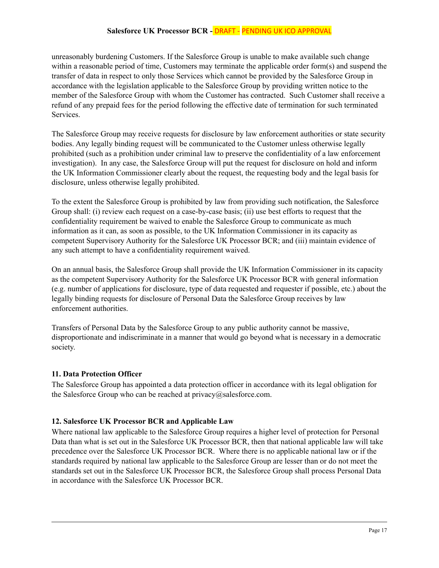unreasonably burdening Customers. If the Salesforce Group is unable to make available such change within a reasonable period of time, Customers may terminate the applicable order form(s) and suspend the transfer of data in respect to only those Services which cannot be provided by the Salesforce Group in accordance with the legislation applicable to the Salesforce Group by providing written notice to the member of the Salesforce Group with whom the Customer has contracted. Such Customer shall receive a refund of any prepaid fees for the period following the effective date of termination for such terminated Services.

The Salesforce Group may receive requests for disclosure by law enforcement authorities or state security bodies. Any legally binding request will be communicated to the Customer unless otherwise legally prohibited (such as a prohibition under criminal law to preserve the confidentiality of a law enforcement investigation). In any case, the Salesforce Group will put the request for disclosure on hold and inform the UK Information Commissioner clearly about the request, the requesting body and the legal basis for disclosure, unless otherwise legally prohibited.

To the extent the Salesforce Group is prohibited by law from providing such notification, the Salesforce Group shall: (i) review each request on a case-by-case basis; (ii) use best efforts to request that the confidentiality requirement be waived to enable the Salesforce Group to communicate as much information as it can, as soon as possible, to the UK Information Commissioner in its capacity as competent Supervisory Authority for the Salesforce UK Processor BCR; and (iii) maintain evidence of any such attempt to have a confidentiality requirement waived.

On an annual basis, the Salesforce Group shall provide the UK Information Commissioner in its capacity as the competent Supervisory Authority for the Salesforce UK Processor BCR with general information (e.g. number of applications for disclosure, type of data requested and requester if possible, etc.) about the legally binding requests for disclosure of Personal Data the Salesforce Group receives by law enforcement authorities.

Transfers of Personal Data by the Salesforce Group to any public authority cannot be massive, disproportionate and indiscriminate in a manner that would go beyond what is necessary in a democratic society.

## <span id="page-16-0"></span>**11. Data Protection Officer**

The Salesforce Group has appointed a data protection officer in accordance with its legal obligation for the Salesforce Group who can be reached at [privacy@salesforce.com.](mailto:privacy@salesforce.group)

## <span id="page-16-1"></span>**12. Salesforce UK Processor BCR and Applicable Law**

Where national law applicable to the Salesforce Group requires a higher level of protection for Personal Data than what is set out in the Salesforce UK Processor BCR, then that national applicable law will take precedence over the Salesforce UK Processor BCR. Where there is no applicable national law or if the standards required by national law applicable to the Salesforce Group are lesser than or do not meet the standards set out in the Salesforce UK Processor BCR, the Salesforce Group shall process Personal Data in accordance with the Salesforce UK Processor BCR.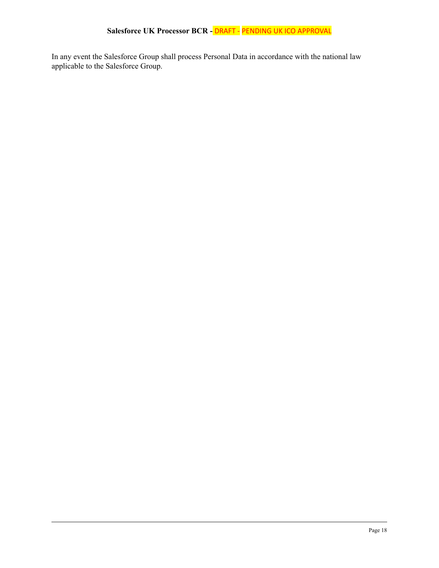In any event the Salesforce Group shall process Personal Data in accordance with the national law applicable to the Salesforce Group.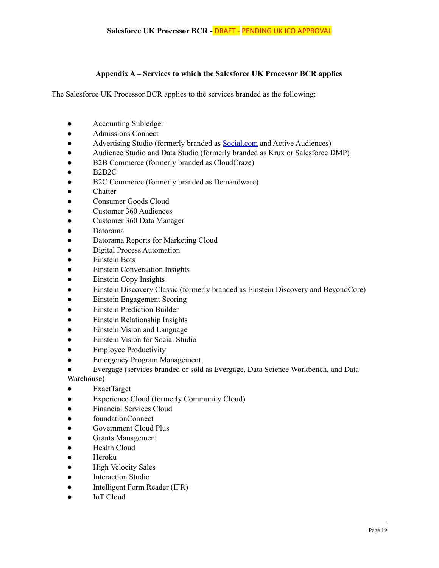#### **Appendix A – Services to which the Salesforce UK Processor BCR applies**

<span id="page-18-0"></span>The Salesforce UK Processor BCR applies to the services branded as the following:

- **●** Accounting Subledger
- **●** Admissions Connect
- **●** Advertising Studio (formerly branded as [Social.com](http://social.com) and Active Audiences)
- **●** Audience Studio and Data Studio (formerly branded as Krux or Salesforce DMP)
- **B2B Commerce (formerly branded as CloudCraze)**
- **●** B2B2C
- **B2C Commerce (formerly branded as Demandware)**
- **●** Chatter
- **●** Consumer Goods Cloud
- **●** Customer 360 Audiences
- **●** Customer 360 Data Manager
- **●** Datorama
- **●** Datorama Reports for Marketing Cloud
- **Digital Process Automation**
- **Einstein Bots**
- **●** Einstein Conversation Insights
- **●** Einstein Copy Insights
- **●** Einstein Discovery Classic (formerly branded as Einstein Discovery and BeyondCore)
- **●** Einstein Engagement Scoring
- **●** Einstein Prediction Builder
- **Einstein Relationship Insights**
- **●** Einstein Vision and Language
- **Einstein Vision for Social Studio**
- **●** Employee Productivity
- **●** Emergency Program Management
- Evergage (services branded or sold as Evergage, Data Science Workbench, and Data

Warehouse)

- **●** ExactTarget
- **●** Experience Cloud (formerly Community Cloud)
- **●** Financial Services Cloud
- **●** foundationConnect
- **●** Government Cloud Plus
- **●** Grants Management
- **Health Cloud**
- **●** Heroku
- **●** High Velocity Sales
- **Interaction Studio**
- **●** Intelligent Form Reader (IFR)
- **●** IoT Cloud